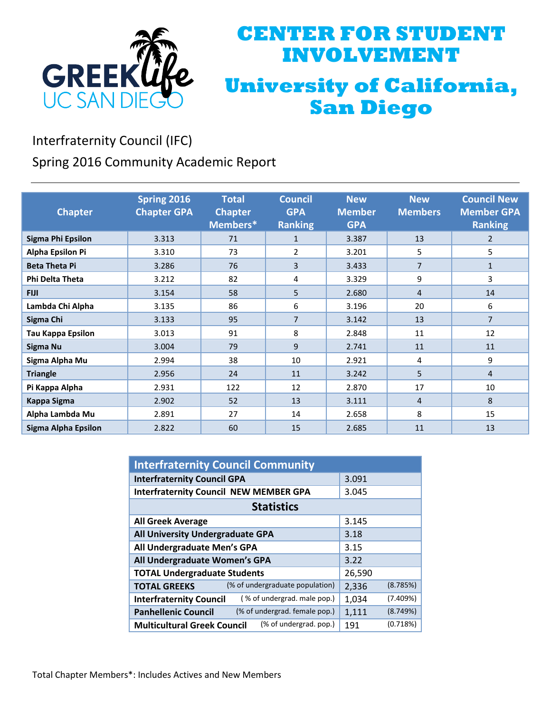

## **CENTER FOR STUDENT INVOLVEMENT University of California, San Diego**

Interfraternity Council (IFC)

Spring 2016 Community Academic Report

| <b>Chapter</b>           | <b>Spring 2016</b><br><b>Chapter GPA</b> | <b>Total</b><br><b>Chapter</b><br>Members* | <b>Council</b><br><b>GPA</b><br><b>Ranking</b> | <b>New</b><br><b>Member</b><br><b>GPA</b> | <b>New</b><br><b>Members</b> | <b>Council New</b><br><b>Member GPA</b><br><b>Ranking</b> |
|--------------------------|------------------------------------------|--------------------------------------------|------------------------------------------------|-------------------------------------------|------------------------------|-----------------------------------------------------------|
| <b>Sigma Phi Epsilon</b> | 3.313                                    | 71                                         | $\mathbf{1}$                                   | 3.387                                     | 13                           | $\overline{2}$                                            |
| <b>Alpha Epsilon Pi</b>  | 3.310                                    | 73                                         | 2                                              | 3.201                                     | 5                            | 5                                                         |
| <b>Beta Theta Pi</b>     | 3.286                                    | 76                                         | 3                                              | 3.433                                     | $\overline{7}$               | $\mathbf{1}$                                              |
| Phi Delta Theta          | 3.212                                    | 82                                         | 4                                              | 3.329                                     | 9                            | 3                                                         |
| <b>FIJI</b>              | 3.154                                    | 58                                         | 5                                              | 2.680                                     | $\overline{4}$               | 14                                                        |
| Lambda Chi Alpha         | 3.135                                    | 86                                         | 6                                              | 3.196                                     | 20                           | 6                                                         |
| Sigma Chi                | 3.133                                    | 95                                         | $\overline{7}$                                 | 3.142                                     | 13                           | $\overline{7}$                                            |
| <b>Tau Kappa Epsilon</b> | 3.013                                    | 91                                         | 8                                              | 2.848                                     | 11                           | 12                                                        |
| Sigma Nu                 | 3.004                                    | 79                                         | 9                                              | 2.741                                     | 11                           | 11                                                        |
| Sigma Alpha Mu           | 2.994                                    | 38                                         | 10                                             | 2.921                                     | 4                            | 9                                                         |
| <b>Triangle</b>          | 2.956                                    | 24                                         | 11                                             | 3.242                                     | 5                            | 4                                                         |
| Pi Kappa Alpha           | 2.931                                    | 122                                        | 12                                             | 2.870                                     | 17                           | 10                                                        |
| Kappa Sigma              | 2.902                                    | 52                                         | 13                                             | 3.111                                     | 4                            | 8                                                         |
| Alpha Lambda Mu          | 2.891                                    | 27                                         | 14                                             | 2.658                                     | 8                            | 15                                                        |
| Sigma Alpha Epsilon      | 2.822                                    | 60                                         | 15                                             | 2.685                                     | 11                           | 13                                                        |

| <b>Interfraternity Council Community</b>                      |                   |  |  |  |
|---------------------------------------------------------------|-------------------|--|--|--|
| <b>Interfraternity Council GPA</b>                            | 3.091             |  |  |  |
| <b>Interfraternity Council NEW MEMBER GPA</b>                 | 3.045             |  |  |  |
| <b>Statistics</b>                                             |                   |  |  |  |
| <b>All Greek Average</b>                                      | 3.145             |  |  |  |
| All University Undergraduate GPA                              | 3.18              |  |  |  |
| All Undergraduate Men's GPA                                   | 3.15              |  |  |  |
| All Undergraduate Women's GPA                                 | 3.22              |  |  |  |
| <b>TOTAL Undergraduate Students</b>                           | 26,590            |  |  |  |
| (% of undergraduate population)<br><b>TOTAL GREEKS</b>        | (8.785%)<br>2,336 |  |  |  |
| (% of undergrad. male pop.)<br><b>Interfraternity Council</b> | (7.409%)<br>1,034 |  |  |  |
| (% of undergrad. female pop.)<br><b>Panhellenic Council</b>   | (8.749%)<br>1,111 |  |  |  |
| (% of undergrad. pop.)<br><b>Multicultural Greek Council</b>  | (0.718%)<br>191   |  |  |  |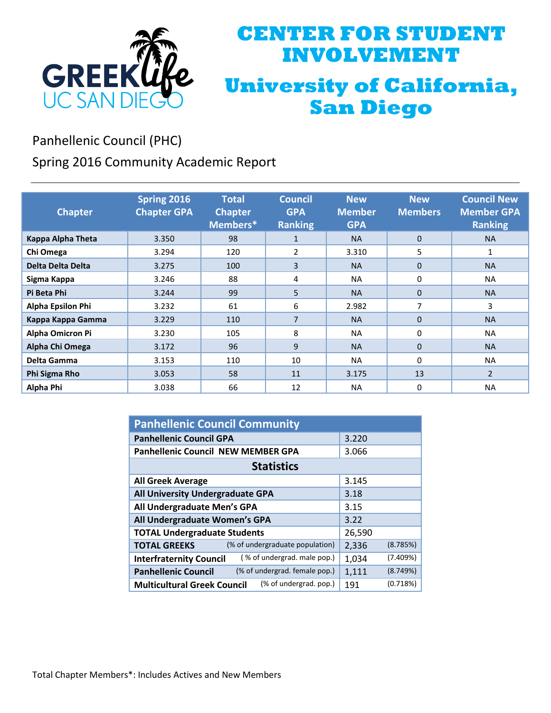

## **CENTER FOR STUDENT INVOLVEMENT University of California, San Diego**

Panhellenic Council (PHC)

Spring 2016 Community Academic Report

| <b>Chapter</b>           | Spring 2016<br><b>Chapter GPA</b> | <b>Total</b><br><b>Chapter</b><br>Members* | <b>Council</b><br><b>GPA</b><br><b>Ranking</b> | <b>New</b><br><b>Member</b><br><b>GPA</b> | <b>New</b><br><b>Members</b> | <b>Council New</b><br><b>Member GPA</b><br><b>Ranking</b> |
|--------------------------|-----------------------------------|--------------------------------------------|------------------------------------------------|-------------------------------------------|------------------------------|-----------------------------------------------------------|
| Kappa Alpha Theta        | 3.350                             | 98                                         | $\mathbf{1}$                                   | <b>NA</b>                                 | $\Omega$                     | <b>NA</b>                                                 |
| Chi Omega                | 3.294                             | 120                                        | 2                                              | 3.310                                     | 5                            | $\mathbf{1}$                                              |
| Delta Delta Delta        | 3.275                             | 100                                        | 3                                              | <b>NA</b>                                 | $\mathbf{0}$                 | <b>NA</b>                                                 |
| Sigma Kappa              | 3.246                             | 88                                         | 4                                              | <b>NA</b>                                 | $\Omega$                     | <b>NA</b>                                                 |
| Pi Beta Phi              | 3.244                             | 99                                         | 5                                              | <b>NA</b>                                 | $\Omega$                     | <b>NA</b>                                                 |
| <b>Alpha Epsilon Phi</b> | 3.232                             | 61                                         | 6                                              | 2.982                                     | 7                            | 3                                                         |
| Kappa Kappa Gamma        | 3.229                             | 110                                        | $\overline{7}$                                 | <b>NA</b>                                 | $\Omega$                     | <b>NA</b>                                                 |
| Alpha Omicron Pi         | 3.230                             | 105                                        | 8                                              | <b>NA</b>                                 | $\Omega$                     | <b>NA</b>                                                 |
| Alpha Chi Omega          | 3.172                             | 96                                         | 9                                              | <b>NA</b>                                 | $\mathbf{0}$                 | <b>NA</b>                                                 |
| Delta Gamma              | 3.153                             | 110                                        | 10                                             | <b>NA</b>                                 | $\Omega$                     | <b>NA</b>                                                 |
| Phi Sigma Rho            | 3.053                             | 58                                         | 11                                             | 3.175                                     | 13                           | $\overline{2}$                                            |
| Alpha Phi                | 3.038                             | 66                                         | 12                                             | <b>NA</b>                                 | 0                            | <b>NA</b>                                                 |

| <b>Panhellenic Council Community</b>                          |                   |  |  |  |
|---------------------------------------------------------------|-------------------|--|--|--|
| <b>Panhellenic Council GPA</b>                                | 3.220             |  |  |  |
| <b>Panhellenic Council NEW MEMBER GPA</b>                     | 3.066             |  |  |  |
| <b>Statistics</b>                                             |                   |  |  |  |
| <b>All Greek Average</b>                                      | 3.145             |  |  |  |
| All University Undergraduate GPA                              | 3.18              |  |  |  |
| All Undergraduate Men's GPA                                   | 3.15              |  |  |  |
| All Undergraduate Women's GPA                                 | 3.22              |  |  |  |
| <b>TOTAL Undergraduate Students</b>                           | 26,590            |  |  |  |
| (% of undergraduate population)<br><b>TOTAL GREEKS</b>        | (8.785%)<br>2,336 |  |  |  |
| (% of undergrad. male pop.)<br><b>Interfraternity Council</b> | (7.409%)<br>1,034 |  |  |  |
| (% of undergrad. female pop.)<br><b>Panhellenic Council</b>   | (8.749%)<br>1,111 |  |  |  |
| (% of undergrad. pop.)<br><b>Multicultural Greek Council</b>  | (0.718%)<br>191   |  |  |  |